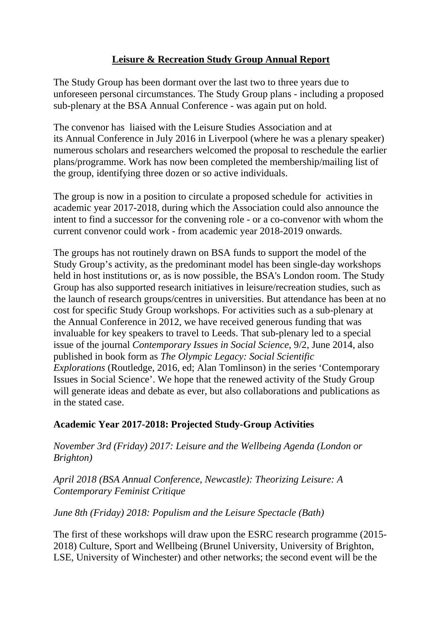## **Leisure & Recreation Study Group Annual Report**

The Study Group has been dormant over the last two to three years due to unforeseen personal circumstances. The Study Group plans - including a proposed sub-plenary at the BSA Annual Conference - was again put on hold.

The convenor has liaised with the Leisure Studies Association and at its Annual Conference in July 2016 in Liverpool (where he was a plenary speaker) numerous scholars and researchers welcomed the proposal to reschedule the earlier plans/programme. Work has now been completed the membership/mailing list of the group, identifying three dozen or so active individuals.

The group is now in a position to circulate a proposed schedule for activities in academic year 2017-2018, during which the Association could also announce the intent to find a successor for the convening role - or a co-convenor with whom the current convenor could work - from academic year 2018-2019 onwards.

The groups has not routinely drawn on BSA funds to support the model of the Study Group's activity, as the predominant model has been single-day workshops held in host institutions or, as is now possible, the BSA's London room. The Study Group has also supported research initiatives in leisure/recreation studies, such as the launch of research groups/centres in universities. But attendance has been at no cost for specific Study Group workshops. For activities such as a sub-plenary at the Annual Conference in 2012, we have received generous funding that was invaluable for key speakers to travel to Leeds. That sub-plenary led to a special issue of the journal *Contemporary Issues in Social Science*, 9/2, June 2014, also published in book form as *The Olympic Legacy: Social Scientific Explorations* (Routledge, 2016, ed; Alan Tomlinson) in the series 'Contemporary Issues in Social Science'. We hope that the renewed activity of the Study Group will generate ideas and debate as ever, but also collaborations and publications as in the stated case.

## **Academic Year 2017-2018: Projected Study-Group Activities**

*November 3rd (Friday) 2017: Leisure and the Wellbeing Agenda (London or Brighton)*

*April 2018 (BSA Annual Conference, Newcastle): Theorizing Leisure: A Contemporary Feminist Critique* 

## *June 8th (Friday) 2018: Populism and the Leisure Spectacle (Bath)*

The first of these workshops will draw upon the ESRC research programme (2015- 2018) Culture, Sport and Wellbeing (Brunel University, University of Brighton, LSE, University of Winchester) and other networks; the second event will be the